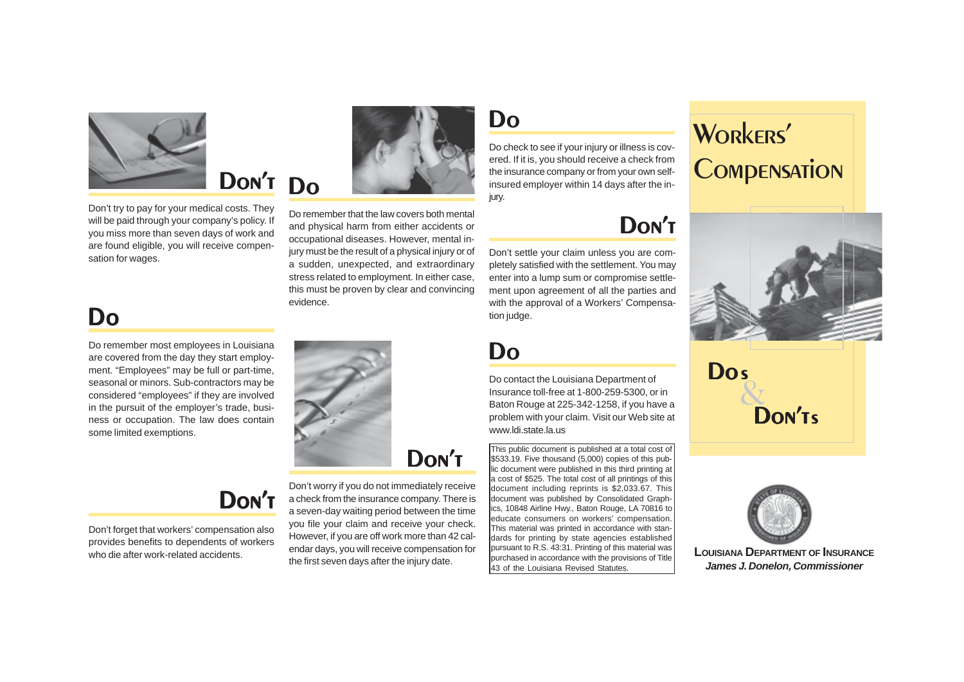Do remember most employees in Louisiana are covered from the day they start employment. "Employees" may be full or part-time, seasonal or minors. Sub-contractors may be considered "employees" if they are involved in the pursuit of the employer's trade, business or occupation. The law does contain some limited exemptions.

# Do

Don't settle your claim unless you are completely satisfied with the settlement. You may enter into a lump sum or compromise settlement upon agreement of all the parties and with the approval of a Workers' Compensation judge.

# Don't

Do contact the Louisiana Department of Insurance toll-free at 1-800-259-5300, or in Baton Rouge at 225-342-1258, if you have a problem with your claim. Visit our Web site at www.ldi.state.la.us

# Do

Do check to see if your injury or illness is covered. If it is, you should receive a check from the insurance company or from your own selfinsured employer within 14 days after the injury.

# Do

This public document is published at a total cost of \$533.19. Five thousand (5,000) copies of this public document were published in this third printing at a cost of \$525. The total cost of all printings of this document including reprints is \$2,033.67. This document was published by Consolidated Graphics, 10848 Airline Hwy., Baton Rouge, LA 70816 to educate consumers on workers' compensation. This material was printed in accordance with standards for printing by state agencies established pursuant to R.S. 43:31. Printing of this material was purchased in accordance with the provisions of Title 43 of the Louisiana Revised Statutes.

Do remember that the law covers both mental and physical harm from either accidents or occupational diseases. However, mental injury must be the result of a physical injury or of a sudden, unexpected, and extraordinary stress related to employment. In either case, this must be proven by clear and convincing evidence.

Don't forget that workers' compensation also provides benefits to dependents of workers who die after work-related accidents.

## Don't



#### Do Don't

Don't try to pay for your medical costs. They will be paid through your company's policy. If you miss more than seven days of work and are found eligible, you will receive compensation for wages.



Don't worry if you do not immediately receive a check from the insurance company. There is a seven-day waiting period between the time you file your claim and receive your check. However, if you are off work more than 42 calendar days, you will receive compensation for the first seven days after the injury date.







**LOUISIANA DEPARTMENT OF INSURANCE** *James J. Donelon, Commissioner*